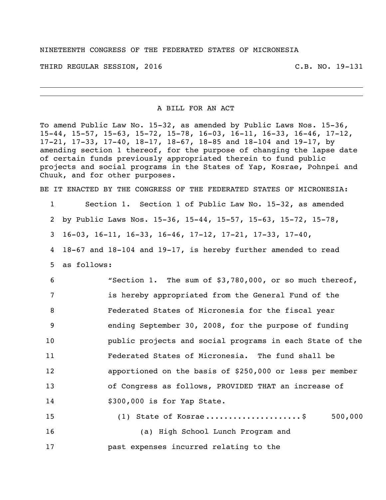THIRD REGULAR SESSION, 2016 C.B. NO. 19-131

A BILL FOR AN ACT

To amend Public Law No. 15-32, as amended by Public Laws Nos. 15-36, 15-44, 15-57, 15-63, 15-72, 15-78, 16-03, 16-11, 16-33, 16-46, 17-12, 17-21, 17-33, 17-40, 18-17, 18-67, 18-85 and 18-104 and 19-17, by amending section 1 thereof, for the purpose of changing the lapse date of certain funds previously appropriated therein to fund public projects and social programs in the States of Yap, Kosrae, Pohnpei and Chuuk, and for other purposes.

BE IT ENACTED BY THE CONGRESS OF THE FEDERATED STATES OF MICRONESIA:

1 Section 1. Section 1 of Public Law No. 15-32, as amended 2 by Public Laws Nos. 15-36, 15-44, 15-57, 15-63, 15-72, 15-78,

3 16-03, 16-11, 16-33, 16-46, 17-12, 17-21, 17-33, 17-40,

4 18-67 and 18-104 and 19-17, is hereby further amended to read 5 as follows:

 "Section 1. The sum of \$3,780,000, or so much thereof, is hereby appropriated from the General Fund of the Federated States of Micronesia for the fiscal year ending September 30, 2008, for the purpose of funding public projects and social programs in each State of the Federated States of Micronesia. The fund shall be apportioned on the basis of \$250,000 or less per member of Congress as follows, PROVIDED THAT an increase of \$300,000 is for Yap State.

15 (1) State of Kosrae ...........................\$ 500,000 16 (a) High School Lunch Program and 17 past expenses incurred relating to the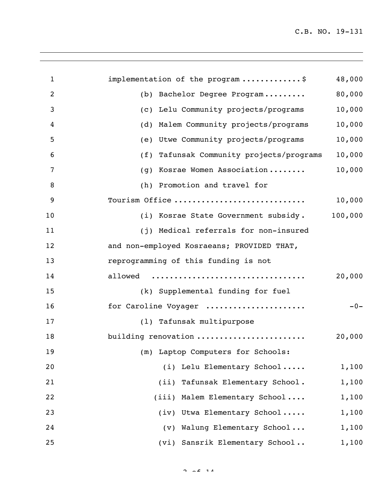| $\mathbf{1}$ | implementation of the program \$            | 48,000  |
|--------------|---------------------------------------------|---------|
| 2            | Bachelor Degree Program<br>(b)              | 80,000  |
| 3            | Lelu Community projects/programs<br>(C)     | 10,000  |
| 4            | Malem Community projects/programs<br>(d)    | 10,000  |
| 5            | Utwe Community projects/programs<br>(e)     | 10,000  |
| 6            | Tafunsak Community projects/programs<br>(f) | 10,000  |
| 7            | Kosrae Women Association<br>(g)             | 10,000  |
| 8            | Promotion and travel for<br>(h)             |         |
| 9            | Tourism Office                              | 10,000  |
| 10           | (i) Kosrae State Government subsidy.        | 100,000 |
| 11           | Medical referrals for non-insured<br>(i)    |         |
| 12           | and non-employed Kosraeans; PROVIDED THAT,  |         |
| 13           | reprogramming of this funding is not        |         |
| 14           | allowed                                     | 20,000  |
| 15           | (k) Supplemental funding for fuel           |         |
| 16           | for Caroline Voyager                        | $-0-$   |
| 17           | (1) Tafunsak multipurpose                   |         |
| 18           | building renovation                         | 20,000  |
| 19           | (m) Laptop Computers for Schools:           |         |
| 20           | (i) Lelu Elementary School                  | 1,100   |
| 21           | (ii) Tafunsak Elementary School.            | 1,100   |
| 22           | (iii) Malem Elementary School               | 1,100   |
| 23           | (iv) Utwa Elementary School                 | 1,100   |
| 24           | Walung Elementary School<br>$(\nu)$         | 1,100   |
| 25           | (vi) Sansrik Elementary School              | 1,100   |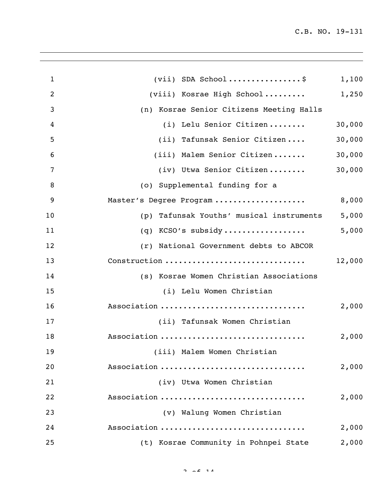| $\mathbf{1}$   | $(vii)$ SDA School\$                        | 1,100  |
|----------------|---------------------------------------------|--------|
| $\overline{2}$ | (viii) Kosrae High School                   | 1,250  |
| 3              | (n) Kosrae Senior Citizens Meeting Halls    |        |
| 4              | (i) Lelu Senior Citizen                     | 30,000 |
| 5              | (ii) Tafunsak Senior Citizen                | 30,000 |
| 6              | (iii) Malem Senior Citizen                  | 30,000 |
| 7              | (iv) Utwa Senior Citizen                    | 30,000 |
| 8              | (o) Supplemental funding for a              |        |
| 9              | Master's Degree Program                     | 8,000  |
| 10             | Tafunsak Youths' musical instruments<br>(p) | 5,000  |
| 11             | $(q)$ KCSO's subsidy                        | 5,000  |
| 12             | (r) National Government debts to ABCOR      |        |
| 13             | Construction                                | 12,000 |
| 14             | (s) Kosrae Women Christian Associations     |        |
| 15             | (i) Lelu Women Christian                    |        |
| 16             | Association                                 | 2,000  |
| 17             | (ii) Tafunsak Women Christian               |        |
| 18             | Association                                 | 2,000  |
| 19             | (iii) Malem Women Christian                 |        |
| 20             | Association                                 | 2,000  |
| 21             | (iv) Utwa Women Christian                   |        |
| 22             | Association                                 | 2,000  |
| 23             | (v) Walung Women Christian                  |        |
| 24             | Association                                 | 2,000  |
| 25             | (t) Kosrae Community in Pohnpei State       | 2,000  |
|                |                                             |        |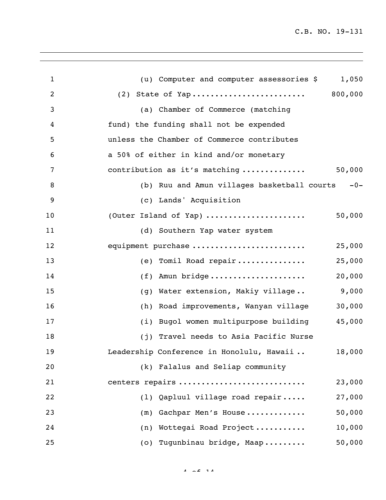| $\mathbf{1}$ | (u) Computer and computer assessories \$<br>1,050    |
|--------------|------------------------------------------------------|
| 2            | (2) State of Yap 800,000                             |
| 3            | (a) Chamber of Commerce (matching                    |
| 4            | fund) the funding shall not be expended              |
| 5            | unless the Chamber of Commerce contributes           |
| 6            | a 50% of either in kind and/or monetary              |
| 7            | 50,000<br>contribution as it's matching              |
| 8            | (b) Ruu and Amun villages basketball courts<br>$-0-$ |
| 9            | (c) Lands' Acquisition                               |
| 10           | 50,000<br>(Outer Island of Yap)                      |
| 11           | (d) Southern Yap water system                        |
| 12           | equipment purchase<br>25,000                         |
| 13           | (e) Tomil Road repair<br>25,000                      |
| 14           | Amun bridge<br>20,000<br>(f)                         |
| 15           | 9,000<br>Water extension, Makiy village<br>(q)       |
| 16           | 30,000<br>Road improvements, Wanyan village<br>(h)   |
| 17           | 45,000<br>(i) Bugol women multipurpose building      |
| 18           | (j) Travel needs to Asia Pacific Nurse               |
| 19           | Leadership Conference in Honolulu, Hawaii<br>18,000  |
| 20           | (k) Falalus and Seliap community                     |
| 21           | centers repairs<br>23,000                            |
| 22           | (1) Qapluul village road repair<br>27,000            |
| 23           | 50,000<br>(m) Gachpar Men's House                    |
| 24           | (n) Wottegai Road Project<br>10,000                  |
| 25           | 50,000<br>(o) Tugunbinau bridge, Maap                |
|              |                                                      |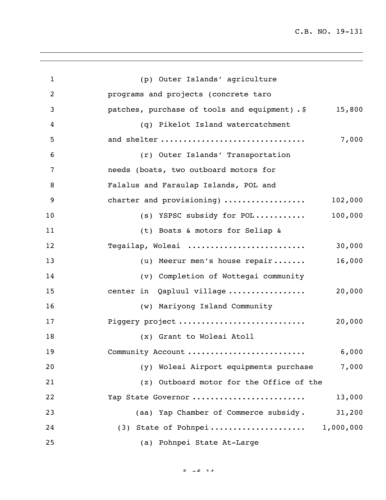| $\mathbf{1}$ | (p) Outer Islands' agriculture                          |
|--------------|---------------------------------------------------------|
| 2            | programs and projects (concrete taro                    |
| 3            | patches, purchase of tools and equipment). \$<br>15,800 |
| 4            | (q) Pikelot Island watercatchment                       |
| 5            | and shelter<br>7,000                                    |
| 6            | (r) Outer Islands' Transportation                       |
| 7            | needs (boats, two outboard motors for                   |
| 8            | Falalus and Faraulap Islands, POL and                   |
| 9            | 102,000<br>charter and provisioning)                    |
| 10           | 100,000<br>(s) YSPSC subsidy for POL                    |
| 11           | (t) Boats & motors for Seliap &                         |
| 12           | Tegailap, Woleai<br>30,000                              |
| 13           | 16,000<br>(u) Meerur men's house repair                 |
| 14           | (v) Completion of Wottegai community                    |
| 15           | 20,000<br>center in Qapluul village                     |
| 16           | (w) Mariyong Island Community                           |
| 17           | Piggery project<br>20,000                               |
| 18           | (x) Grant to Woleai Atoll                               |
| 19           | 6,000<br>Community Account                              |
| 20           | Woleai Airport equipments purchase<br>7,000<br>(y)      |
| 21           | (z) Outboard motor for the Office of the                |
| 22           | 13,000<br>Yap State Governor                            |
| 23           | (aa) Yap Chamber of Commerce subsidy.<br>31,200         |
| 24           | (3) State of Pohnpei 1,000,000                          |
| 25           | (a) Pohnpei State At-Large                              |

 $E = -2$  14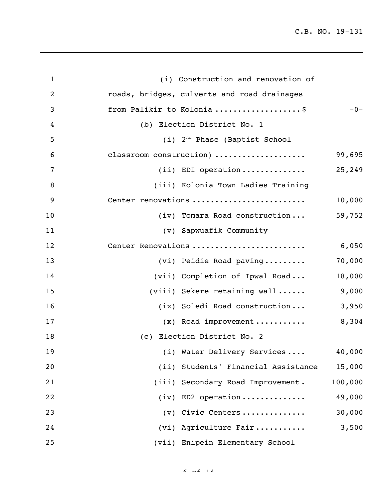| $\mathbf{1}$   | (i) Construction and renovation of          |         |
|----------------|---------------------------------------------|---------|
| $\overline{2}$ | roads, bridges, culverts and road drainages |         |
| 3              | from Palikir to Kolonia\$                   | $-0-$   |
| 4              | (b) Election District No. 1                 |         |
| 5              | (i) 2 <sup>nd</sup> Phase (Baptist School   |         |
| 6              | classroom construction)                     | 99,695  |
| 7              | $(i)$ EDI operation                         | 25,249  |
| 8              | (iii) Kolonia Town Ladies Training          |         |
| 9              | Center renovations                          | 10,000  |
| 10             | (iv) Tomara Road construction               | 59,752  |
| 11             | (v) Sapwuafik Community                     |         |
| 12             | Center Renovations                          | 6,050   |
| 13             | (vi) Peidie Road paving                     | 70,000  |
| 14             | (vii) Completion of Ipwal Road              | 18,000  |
| 15             | (viii) Sekere retaining wall                | 9,000   |
| 16             | (ix) Soledi Road construction               | 3,950   |
| 17             | $(x)$ Road improvement                      | 8,304   |
| 18             | (c) Election District No. 2                 |         |
| 19             | (i) Water Delivery Services                 | 40,000  |
| 20             | (ii) Students' Financial Assistance         | 15,000  |
| 21             | (iii) Secondary Road Improvement.           | 100,000 |
| 22             | $(iv)$ ED2 operation                        | 49,000  |
| 23             | (v) Civic Centers                           | 30,000  |
| 24             | (vi) Agriculture Fair                       | 3,500   |
| 25             | (vii) Enipein Elementary School             |         |

 $6.02$  14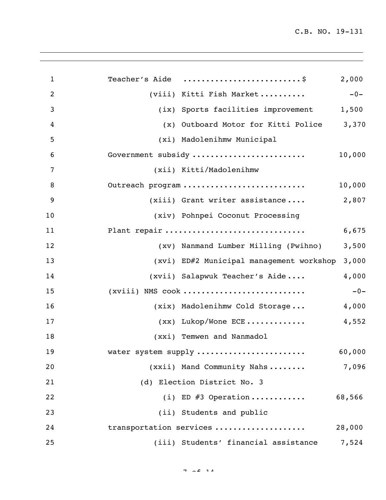| $\mathbf{1}$<br>$\overline{2}$<br>3<br>4<br>5<br>6<br>7<br>8<br>9<br>10<br>11 | Teacher's Aide \$                        | 2,000  |
|-------------------------------------------------------------------------------|------------------------------------------|--------|
|                                                                               |                                          |        |
|                                                                               | (viii) Kitti Fish Market                 | $-0-$  |
|                                                                               | (ix) Sports facilities improvement       | 1,500  |
|                                                                               | (x) Outboard Motor for Kitti Police      | 3,370  |
|                                                                               | (xi) Madolenihmw Municipal               |        |
|                                                                               | Government subsidy                       | 10,000 |
|                                                                               | (xii) Kitti/Madolenihmw                  |        |
|                                                                               | Outreach program                         | 10,000 |
|                                                                               | $(xiii)$ Grant writer assistance         | 2,807  |
|                                                                               | (xiv) Pohnpei Coconut Processing         |        |
|                                                                               | Plant repair                             | 6,675  |
| 12                                                                            | (xv) Nanmand Lumber Milling (Pwihno)     | 3,500  |
| 13                                                                            | (xvi) ED#2 Municipal management workshop | 3,000  |
| 14                                                                            | (xvii) Salapwuk Teacher's Aide           | 4,000  |
| 15                                                                            | $(xviii)$ NMS $cock$                     | $-0-$  |
| 16                                                                            | (xix) Madolenihmw Cold Storage           | 4,000  |
| 17                                                                            | $(xx)$ Lukop/Wone ECE                    | 4,552  |
| 18                                                                            | (xxi) Temwen and Nanmadol                |        |
| 19                                                                            | water system supply                      | 60,000 |
| 20                                                                            | (xxii) Mand Community Nahs               | 7,096  |
| 21                                                                            | (d) Election District No. 3              |        |
| 22                                                                            | (i) ED $#3$ Operation                    | 68,566 |
| 23                                                                            | (ii) Students and public                 |        |
| 24                                                                            | transportation services                  | 28,000 |
| 25                                                                            | (iii) Students' financial assistance     | 7,524  |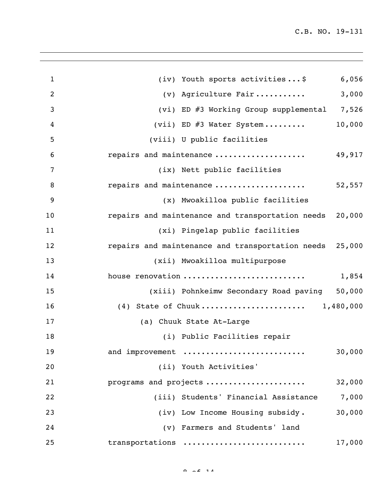| $\mathbf{1}$   | 6,056<br>(iv) Youth sports activities\$                    |
|----------------|------------------------------------------------------------|
| $\overline{2}$ | 3,000<br>(v) Agriculture Fair                              |
| 3              | (vi) ED #3 Working Group supplemental 7,526                |
| 4              | 10,000<br>(vii) ED #3 Water System                         |
| 5              | (viii) U public facilities                                 |
| 6              | repairs and maintenance<br>49,917                          |
| 7              | (ix) Nett public facilities                                |
| 8              | repairs and maintenance<br>52,557                          |
| 9              | (x) Mwoakilloa public facilities                           |
| 10             | 20,000<br>repairs and maintenance and transportation needs |
| 11             | (xi) Pingelap public facilities                            |
| 12             | repairs and maintenance and transportation needs 25,000    |
| 13             | (xii) Mwoakilloa multipurpose                              |
| 14             | house renovation<br>1,854                                  |
| 15             | (xiii) Pohnkeimw Secondary Road paving 50,000              |
| 16             | (4) State of Chuuk 1,480,000                               |
| 17             | (a) Chuuk State At-Large                                   |
| 18             | (i) Public Facilities repair                               |
| 19             | 30,000<br>and improvement                                  |
| 20             | (ii) Youth Activities'                                     |
| 21             | programs and projects<br>32,000                            |
| 22             | 7,000<br>(iii) Students' Financial Assistance              |
| 23             | 30,000<br>(iv) Low Income Housing subsidy.                 |
| 24             | (v) Farmers and Students' land                             |
| 25             | 17,000<br>transportations                                  |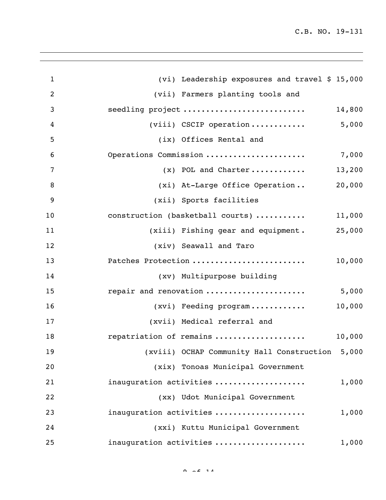| (vii) Farmers planting tools and   |                                                                                                                                                                                                                                                                  |
|------------------------------------|------------------------------------------------------------------------------------------------------------------------------------------------------------------------------------------------------------------------------------------------------------------|
| seedling project                   |                                                                                                                                                                                                                                                                  |
|                                    |                                                                                                                                                                                                                                                                  |
| (ix) Offices Rental and            |                                                                                                                                                                                                                                                                  |
| Operations Commission              |                                                                                                                                                                                                                                                                  |
| $(x)$ POL and Charter              |                                                                                                                                                                                                                                                                  |
| (xi) At-Large Office Operation     |                                                                                                                                                                                                                                                                  |
| (xii) Sports facilities            |                                                                                                                                                                                                                                                                  |
| construction (basketball courts)   |                                                                                                                                                                                                                                                                  |
| (xiii) Fishing gear and equipment. |                                                                                                                                                                                                                                                                  |
| (xiv) Seawall and Taro             |                                                                                                                                                                                                                                                                  |
| Patches Protection                 |                                                                                                                                                                                                                                                                  |
| (xv) Multipurpose building         |                                                                                                                                                                                                                                                                  |
| repair and renovation              |                                                                                                                                                                                                                                                                  |
| (xvi) Feeding program              |                                                                                                                                                                                                                                                                  |
| (xvii) Medical referral and        |                                                                                                                                                                                                                                                                  |
| repatriation of remains            |                                                                                                                                                                                                                                                                  |
|                                    |                                                                                                                                                                                                                                                                  |
| (xix) Tonoas Municipal Government  |                                                                                                                                                                                                                                                                  |
| inauguration activities            |                                                                                                                                                                                                                                                                  |
| (xx) Udot Municipal Government     |                                                                                                                                                                                                                                                                  |
| inauguration activities            |                                                                                                                                                                                                                                                                  |
| (xxi) Kuttu Municipal Government   |                                                                                                                                                                                                                                                                  |
| inauguration activities            |                                                                                                                                                                                                                                                                  |
|                                    | (vi) Leadership exposures and travel \$ 15,000<br>14,800<br>$(viii)$ CSCIP operation 5,000<br>7,000<br>13,200<br>20,000<br>11,000<br>25,000<br>10,000<br>5,000<br>10,000<br>10,000<br>(xviii) OCHAP Community Hall Construction 5,000<br>1,000<br>1,000<br>1,000 |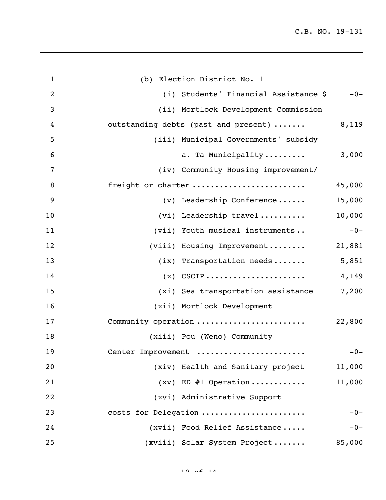| $\mathbf{1}$     | (b) Election District No. 1                   |
|------------------|-----------------------------------------------|
| $\overline{2}$   | (i) Students' Financial Assistance \$ -0-     |
| 3                | (ii) Mortlock Development Commission          |
| $\boldsymbol{4}$ | 8,119<br>outstanding debts (past and present) |
| 5                | (iii) Municipal Governments' subsidy          |
| 6                | 3,000<br>a. Ta Municipality                   |
| 7                | (iv) Community Housing improvement/           |
| 8                | freight or charter<br>45,000                  |
| 9                | 15,000<br>(v) Leadership Conference           |
| 10               | 10,000<br>(vi) Leadership travel              |
| 11               | $-0-$<br>(vii) Youth musical instruments      |
| 12               | 21,881<br>(viii) Housing Improvement          |
| 13               | 5,851<br>$(ix)$ Transportation needs          |
| 14               | $(x)$ CSCIP<br>4,149                          |
| 15               | (xi) Sea transportation assistance 7,200      |
| 16               | (xii) Mortlock Development                    |
| 17               | Community operation<br>22,800                 |
| 18               | (xiii) Pou (Weno) Community                   |
| 19               | Center Improvement<br>$-0-$                   |
| 20               | (xiv) Health and Sanitary project<br>11,000   |
| 21               | $(xv)$ ED #1 Operation<br>11,000              |
| 22               | (xvi) Administrative Support                  |
| 23               | costs for Delegation<br>$-0-$                 |
| 24               | (xvii) Food Relief Assistance<br>$-0-$        |
| 25               | (xviii) Solar System Project<br>85,000        |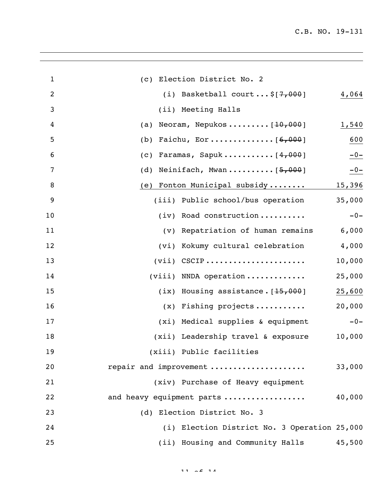| $\mathbf{1}$ | (c) Election District No. 2                   |        |
|--------------|-----------------------------------------------|--------|
| 2            | (i) Basketball court\$ $[7,000]$              | 4,064  |
| 3            | (ii) Meeting Halls                            |        |
| 4            | Neoram, Nepukos [ <del>10,000</del> ]<br>(a)  | 1,540  |
| 5            | (b)                                           | 600    |
| 6            | Faramas, Sapuk $[4,000]$<br>$\left( c\right)$ | $-0-$  |
| 7            | Neinifach, Mwan $[5,000]$<br>(d)              | $-0-$  |
| 8            | Fonton Municipal subsidy<br>(e)               | 15,396 |
| 9            | (iii) Public school/bus operation             | 35,000 |
| 10           | $(iv)$ Road construction                      | $-0-$  |
| 11           | (v) Repatriation of human remains             | 6,000  |
| 12           | (vi) Kokumy cultural celebration              | 4,000  |
| 13           | $(vii)$ CSCIP                                 | 10,000 |
| 14           | $(viii)$ NNDA operation                       | 25,000 |
| 15           | (ix) Housing assistance. $[15,000]$           | 25,600 |
| 16           | $(x)$ Fishing projects                        | 20,000 |
| 17           | (xi) Medical supplies & equipment             | $-0-$  |
| 18           | (xii) Leadership travel & exposure            | 10,000 |
| 19           | (xiii) Public facilities                      |        |
| 20           | repair and improvement                        | 33,000 |
| 21           | (xiv) Purchase of Heavy equipment             |        |
| 22           | and heavy equipment parts                     | 40,000 |
| 23           | (d) Election District No. 3                   |        |
| 24           | (i) Election District No. 3 Operation 25,000  |        |
| 25           | (ii) Housing and Community Halls              | 45,500 |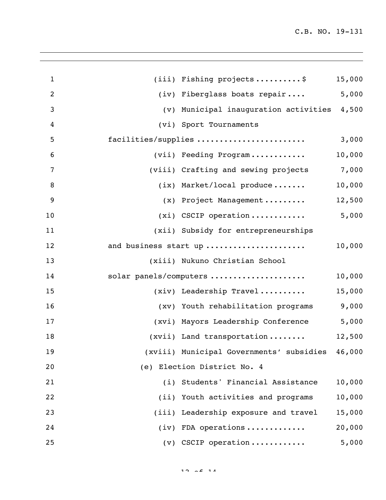| $\mathbf{1}$     | $(iii)$ Fishing projects\$                      | 15,000 |
|------------------|-------------------------------------------------|--------|
| $\overline{2}$   | (iv) Fiberglass boats repair 5,000              |        |
| $\mathfrak{Z}$   | (v) Municipal inauguration activities 4,500     |        |
| $\boldsymbol{4}$ | (vi) Sport Tournaments                          |        |
| 5                | facilities/supplies                             | 3,000  |
| 6                | (vii) Feeding Program                           | 10,000 |
| 7                | (viii) Crafting and sewing projects 7,000       |        |
| 8                | $(ix)$ Market/local produce                     | 10,000 |
| 9                | (x) Project Management                          | 12,500 |
| 10               | $(xi)$ CSCIP operation 5,000                    |        |
| 11               | (xii) Subsidy for entrepreneurships             |        |
| 12               | and business start up                           | 10,000 |
| 13               | (xiii) Nukuno Christian School                  |        |
| 14               | solar panels/computers                          | 10,000 |
| 15               | $(xiv)$ Leadership Travel                       | 15,000 |
| 16               | (xv) Youth rehabilitation programs              | 9,000  |
| 17               | (xvi) Mayors Leadership Conference              | 5,000  |
| 18               | (xvii) Land transportation                      | 12,500 |
| 19               | (xviii) Municipal Governments' subsidies 46,000 |        |
| 20               | (e) Election District No. 4                     |        |
| 21               | (i) Students' Financial Assistance              | 10,000 |
| 22               | (ii) Youth activities and programs              | 10,000 |
| 23               | (iii) Leadership exposure and travel            | 15,000 |
| 24               | $(iv)$ FDA operations                           | 20,000 |
| 25               | $(v)$ CSCIP operation                           | 5,000  |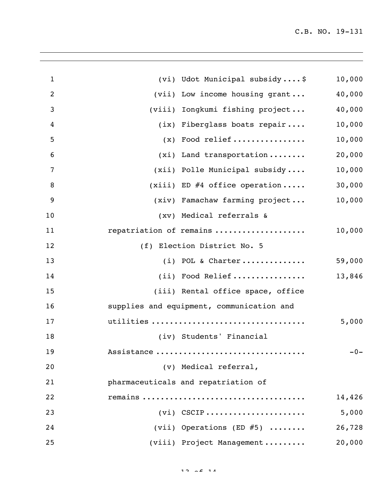| $\mathbf{1}$     | (vi) Udot Municipal subsidy\$             | 10,000 |
|------------------|-------------------------------------------|--------|
| $\overline{2}$   | (vii) Low income housing grant            | 40,000 |
| 3                | (viii) Iongkumi fishing project           | 40,000 |
| $\overline{4}$   | (ix) Fiberglass boats repair              | 10,000 |
| 5                | $(x)$ Food relief                         | 10,000 |
| 6                | $(xi)$ Land transportation                | 20,000 |
| $\overline{7}$   | (xii) Polle Municipal subsidy             | 10,000 |
| 8                | $(xiii)$ ED #4 office operation           | 30,000 |
| $\boldsymbol{9}$ | (xiv) Famachaw farming project            | 10,000 |
| 10               | (xv) Medical referrals &                  |        |
| 11               | repatriation of remains                   | 10,000 |
| 12               | (f) Election District No. 5               |        |
| 13               | $(i)$ POL & Charter                       | 59,000 |
| 14               | (ii) Food Relief                          | 13,846 |
| 15               | (iii) Rental office space, office         |        |
| 16               | supplies and equipment, communication and |        |
| 17               | utilities                                 | 5,000  |
| 18               | (iv) Students' Financial                  |        |
| 19               | Assistance                                | $-0-$  |
| 20               | (v) Medical referral,                     |        |
| 21               | pharmaceuticals and repatriation of       |        |
| 22               |                                           | 14,426 |
| 23               | $(vi)$ CSCIP                              | 5,000  |
| 24               | (vii) Operations (ED $#5$ )               | 26,728 |
| 25               | (viii) Project Management                 | 20,000 |